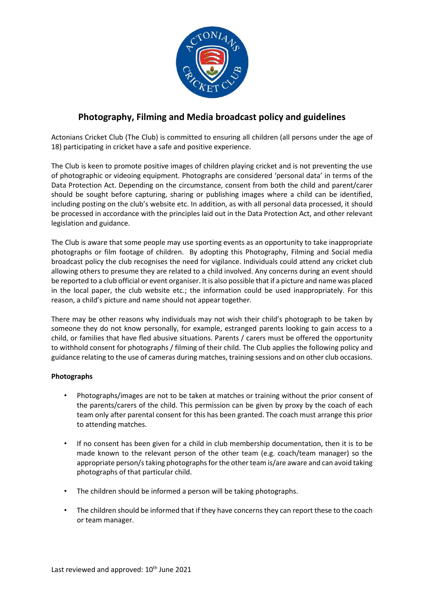

## **Photography, Filming and Media broadcast policy and guidelines**

Actonians Cricket Club (The Club) is committed to ensuring all children (all persons under the age of 18) participating in cricket have a safe and positive experience.

The Club is keen to promote positive images of children playing cricket and is not preventing the use of photographic or videoing equipment. Photographs are considered 'personal data' in terms of the Data Protection Act. Depending on the circumstance, consent from both the child and parent/carer should be sought before capturing, sharing or publishing images where a child can be identified, including posting on the club's website etc. In addition, as with all personal data processed, it should be processed in accordance with the principles laid out in the Data Protection Act, and other relevant legislation and guidance.

The Club is aware that some people may use sporting events as an opportunity to take inappropriate photographs or film footage of children. By adopting this Photography, Filming and Social media broadcast policy the club recognises the need for vigilance. Individuals could attend any cricket club allowing others to presume they are related to a child involved. Any concerns during an event should be reported to a club official or event organiser. It is also possible that if a picture and name was placed in the local paper, the club website etc.; the information could be used inappropriately. For this reason, a child's picture and name should not appear together.

There may be other reasons why individuals may not wish their child's photograph to be taken by someone they do not know personally, for example, estranged parents looking to gain access to a child, or families that have fled abusive situations. Parents / carers must be offered the opportunity to withhold consent for photographs / filming of their child. The Club applies the following policy and guidance relating to the use of cameras during matches, training sessions and on other club occasions.

## **Photographs**

- Photographs/images are not to be taken at matches or training without the prior consent of the parents/carers of the child. This permission can be given by proxy by the coach of each team only after parental consent for this has been granted. The coach must arrange this prior to attending matches.
- If no consent has been given for a child in club membership documentation, then it is to be made known to the relevant person of the other team (e.g. coach/team manager) so the appropriate person/s taking photographs for the other team is/are aware and can avoid taking photographs of that particular child.
- The children should be informed a person will be taking photographs.
- The children should be informed that if they have concerns they can report these to the coach or team manager.